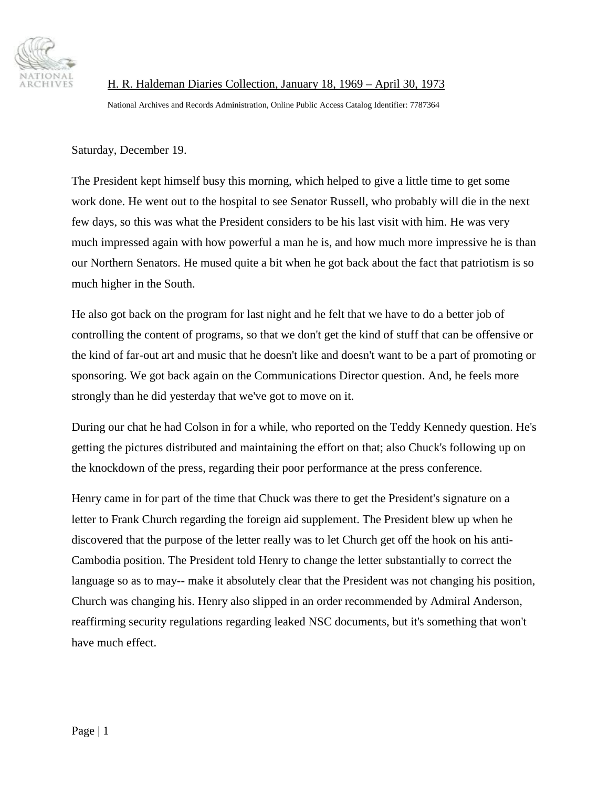

H. R. Haldeman Diaries Collection, January 18, 1969 – April 30, 1973 National Archives and Records Administration, Online Public Access Catalog Identifier: 7787364

Saturday, December 19.

The President kept himself busy this morning, which helped to give a little time to get some work done. He went out to the hospital to see Senator Russell, who probably will die in the next few days, so this was what the President considers to be his last visit with him. He was very much impressed again with how powerful a man he is, and how much more impressive he is than our Northern Senators. He mused quite a bit when he got back about the fact that patriotism is so much higher in the South.

He also got back on the program for last night and he felt that we have to do a better job of controlling the content of programs, so that we don't get the kind of stuff that can be offensive or the kind of far-out art and music that he doesn't like and doesn't want to be a part of promoting or sponsoring. We got back again on the Communications Director question. And, he feels more strongly than he did yesterday that we've got to move on it.

During our chat he had Colson in for a while, who reported on the Teddy Kennedy question. He's getting the pictures distributed and maintaining the effort on that; also Chuck's following up on the knockdown of the press, regarding their poor performance at the press conference.

Henry came in for part of the time that Chuck was there to get the President's signature on a letter to Frank Church regarding the foreign aid supplement. The President blew up when he discovered that the purpose of the letter really was to let Church get off the hook on his anti-Cambodia position. The President told Henry to change the letter substantially to correct the language so as to may-- make it absolutely clear that the President was not changing his position, Church was changing his. Henry also slipped in an order recommended by Admiral Anderson, reaffirming security regulations regarding leaked NSC documents, but it's something that won't have much effect.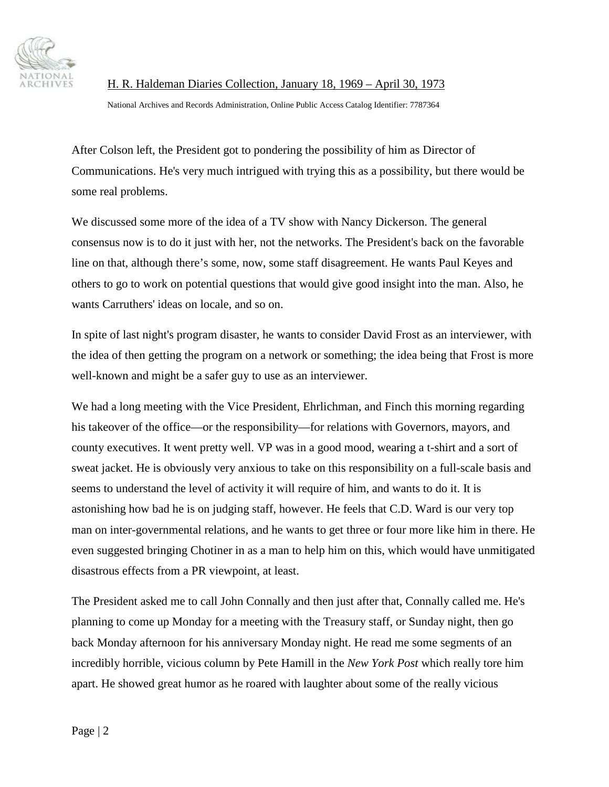

H. R. Haldeman Diaries Collection, January 18, 1969 – April 30, 1973

National Archives and Records Administration, Online Public Access Catalog Identifier: 7787364

After Colson left, the President got to pondering the possibility of him as Director of Communications. He's very much intrigued with trying this as a possibility, but there would be some real problems.

We discussed some more of the idea of a TV show with Nancy Dickerson. The general consensus now is to do it just with her, not the networks. The President's back on the favorable line on that, although there's some, now, some staff disagreement. He wants Paul Keyes and others to go to work on potential questions that would give good insight into the man. Also, he wants Carruthers' ideas on locale, and so on.

In spite of last night's program disaster, he wants to consider David Frost as an interviewer, with the idea of then getting the program on a network or something; the idea being that Frost is more well-known and might be a safer guy to use as an interviewer.

We had a long meeting with the Vice President, Ehrlichman, and Finch this morning regarding his takeover of the office—or the responsibility—for relations with Governors, mayors, and county executives. It went pretty well. VP was in a good mood, wearing a t-shirt and a sort of sweat jacket. He is obviously very anxious to take on this responsibility on a full-scale basis and seems to understand the level of activity it will require of him, and wants to do it. It is astonishing how bad he is on judging staff, however. He feels that C.D. Ward is our very top man on inter-governmental relations, and he wants to get three or four more like him in there. He even suggested bringing Chotiner in as a man to help him on this, which would have unmitigated disastrous effects from a PR viewpoint, at least.

The President asked me to call John Connally and then just after that, Connally called me. He's planning to come up Monday for a meeting with the Treasury staff, or Sunday night, then go back Monday afternoon for his anniversary Monday night. He read me some segments of an incredibly horrible, vicious column by Pete Hamill in the *New York Post* which really tore him apart. He showed great humor as he roared with laughter about some of the really vicious